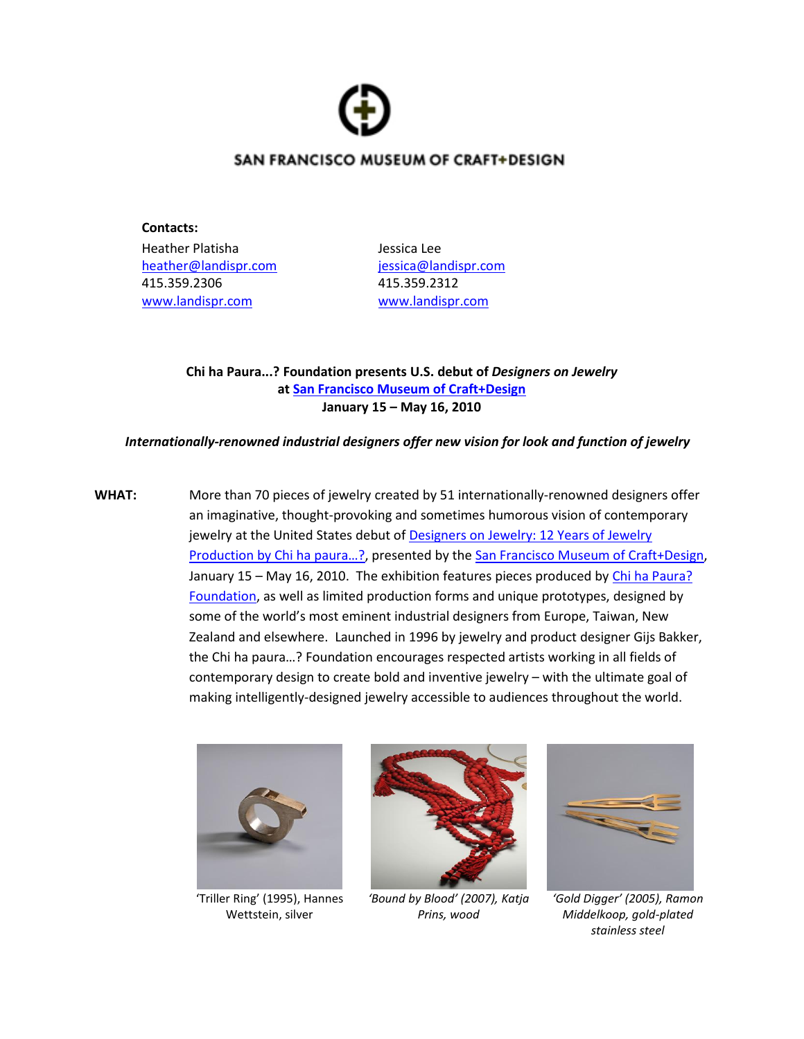

## SAN FRANCISCO MUSEUM OF CRAFT+DESIGN

**Contacts:** Heather Platisha Jessica Lee [heather@landispr.com](mailto:heather@landispr.com) [jessica@landispr.com](mailto:jessica@landispr.com) 415.359.2306 415.359.2312 [www.landispr.com](http://www.landispr.com/) [www.landispr.com](http://www.landispr.com/)

**Chi ha Paura...? Foundation presents U.S. debut of** *Designers on Jewelry* **at [San Francisco Museum of Craft+Design](http://www.sfmcd.org/) January 15 – May 16, 2010**

## *Internationally-renowned industrial designers offer new vision for look and function of jewelry*

**WHAT:** More than 70 pieces of jewelry created by 51 internationally-renowned designers offer an imaginative, thought-provoking and sometimes humorous vision of contemporary jewelry at the United States debut o[f Designers on Jewelry: 12 Years of Jewelry](http://sfmcd.org/exhibt_next.htm)  Production by Chi ha paura...?, presented by the [San Francisco Museum of Craft+Design,](http://www.sfmcd.org/) January 15 – May 16, 2010. The exhibition features pieces produced by [Chi ha Paura?](http://www.chihapaura.com/)  [Foundation,](http://www.chihapaura.com/) as well as limited production forms and unique prototypes, designed by some of the world's most eminent industrial designers from Europe, Taiwan, New Zealand and elsewhere. Launched in 1996 by jewelry and product designer Gijs Bakker, the Chi ha paura…? Foundation encourages respected artists working in all fields of contemporary design to create bold and inventive jewelry – with the ultimate goal of making intelligently-designed jewelry accessible to audiences throughout the world.



'Triller Ring' (1995), Hannes Wettstein, silver



*'Bound by Blood' (2007), Katja Prins, wood*



*'Gold Digger' (2005), Ramon Middelkoop, gold-plated stainless steel*